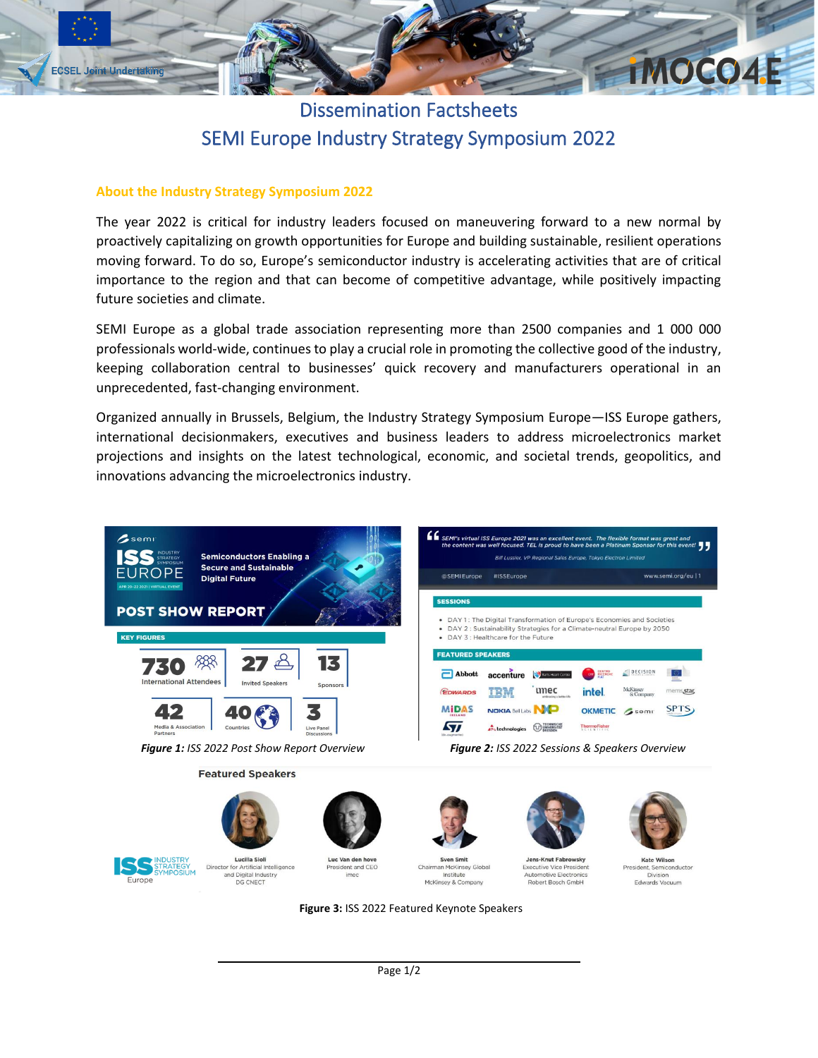

## Dissemination Factsheets SEMI Europe Industry Strategy Symposium 2022

## **About the Industry Strategy Symposium 2022**

The year 2022 is critical for industry leaders focused on maneuvering forward to a new normal by proactively capitalizing on growth opportunities for Europe and building sustainable, resilient operations moving forward. To do so, Europe's semiconductor industry is accelerating activities that are of critical importance to the region and that can become of competitive advantage, while positively impacting future societies and climate.

SEMI Europe as a global trade association representing more than 2500 companies and 1 000 000 professionals world-wide, continues to play a crucial role in promoting the collective good of the industry, keeping collaboration central to businesses' quick recovery and manufacturers operational in an unprecedented, fast-changing environment.

Organized annually in Brussels, Belgium, the Industry Strategy Symposium Europe—ISS Europe gathers, international decisionmakers, executives and business leaders to address microelectronics market projections and insights on the latest technological, economic, and societal trends, geopolitics, and innovations advancing the microelectronics industry.